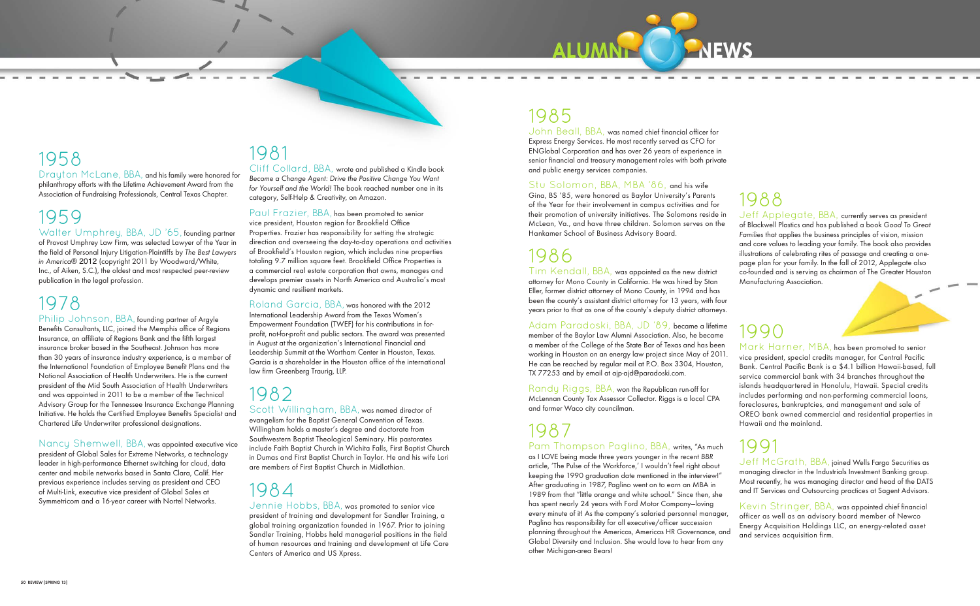### 1985

John Beall, BBA, was named chief financial officer for Express Energy Services. He most recently served as CFO for ENGlobal Corporation and has over 26 years of experience in senior financial and treasury management roles with both private and public energy services companies.

Stu Solomon, BBA, MBA '86, and his wife Gina, BS '85, were honored as Baylor University's Parents of the Year for their involvement in campus activities and for their promotion of university initiatives. The Solomons reside in McLean, Va., and have three children. Solomon serves on the Hankamer School of Business Advisory Board.

### 1986

Tim Kendall, BBA, was appointed as the new district attorney for Mono County in California. He was hired by Stan Eller, former district attorney of Mono County, in 1994 and has been the county's assistant district attorney for 13 years, with four years prior to that as one of the county's deputy district attorneys.

Adam Paradoski, BBA, JD '89, became a lifetime member of the Baylor Law Alumni Association. Also, he became a member of the College of the State Bar of Texas and has been working in Houston on an energy law project since May of 2011. He can be reached by regular mail at P.O. Box 3304, Houston, TX 77253 and by email at ajp-ajd@paradoski.com.

Randy Riggs, BBA, won the Republican run-off for McLennan County Tax Assessor Collector. Riggs is a local CPA and former Waco city councilman.

# 1987

Pam Thompson Paglino, BBA, writes, "As much as I LOVE being made three years younger in the recent BBR article, 'The Pulse of the Workforce,' I wouldn't feel right about keeping the 1990 graduation date mentioned in the interview!" After graduating in 1987, Paglino went on to earn an MBA in 1989 from that "little orange and white school." Since then, she has spent nearly 24 years with Ford Motor Company—loving every minute of it! As the company's salaried personnel manager, Paglino has responsibility for all executive/officer succession planning throughout the Americas, Americas HR Governance, and Global Diversity and Inclusion. She would love to hear from any other Michigan-area Bears! 1991 Jeff McGrath, BBA, joined Wells Fargo Securities as managing director in the Industrials Investment Banking group. Most recently, he was managing director and head of the DATS and IT Services and Outsourcing practices at Sagent Advisors. Kevin Stringer, BBA, was appointed chief financial officer as well as an advisory board member of Newco Energy Acquisition Holdings LLC, an energy-related asset and services acquisition firm.

1988 Jeff Applegate, BBA, currently serves as president of Blackwell Plastics and has published a book Good To Great Families that applies the business principles of vision, mission and core values to leading your family. The book also provides illustrations of celebrating rites of passage and creating a onepage plan for your family. In the fall of 2012, Applegate also co-founded and is serving as chairman of The Greater Houston Manufacturing Association.

### 1990

Mark Harner, MBA, has been promoted to senior vice president, special credits manager, for Central Pacific Bank. Central Pacific Bank is a \$4.1 billion Hawaii-based, full service commercial bank with 34 branches throughout the islands headquartered in Honolulu, Hawaii. Special credits includes performing and non-performing commercial loans, foreclosures, bankruptcies, and management and sale of OREO bank owned commercial and residential properties in Hawaii and the mainland.



### 1958

Drayton McLane, BBA, and his family were honored for philanthropy efforts with the Lifetime Achievement Award from the Association of Fundraising Professionals, Central Texas Chapter.

### 1959

Walter Umphrey, BBA, JD '65, founding partner of Provost Umphrey Law Firm, was selected Lawyer of the Year in the field of Personal Injury Litigation-Plaintiffs by The Best Lawyers in America® 2012 (copyright 2011 by Woodward/White, Inc., of Aiken, S.C.), the oldest and most respected peer-review publication in the legal profession.

### 1978

Philip Johnson, BBA, founding partner of Argyle Benefits Consultants, LLC, joined the Memphis office of Regions Insurance, an affiliate of Regions Bank and the fifth largest insurance broker based in the Southeast. Johnson has more than 30 years of insurance industry experience, is a member of the International Foundation of Employee Benefit Plans and the National Association of Health Underwriters. He is the current president of the Mid South Association of Health Underwriters and was appointed in 2011 to be a member of the Technical Advisory Group for the Tennessee Insurance Exchange Planning Initiative. He holds the Certified Employee Benefits Specialist and Chartered Life Underwriter professional designations.

Nancy Shemwell, BBA, was appointed executive vice president of Global Sales for Extreme Networks, a technology leader in high-performance Ethernet switching for cloud, data center and mobile networks based in Santa Clara, Calif. Her previous experience includes serving as president and CEO of Multi-Link, executive vice president of Global Sales at Symmetricom and a 16-year career with Nortel Networks.

### 1981

Cliff Collard, BBA, wrote and published a Kindle book Become a Change Agent: Drive the Positive Change You Want for Yourself and the World! The book reached number one in its category, Self-Help & Creativity, on Amazon.

Paul Frazier, BBA, has been promoted to senior vice president, Houston region for Brookfield Office Properties. Frazier has responsibility for setting the strategic direction and overseeing the day-to-day operations and activities of Brookfield's Houston region, which includes nine properties totaling 9.7 million square feet. Brookfield Office Properties is a commercial real estate corporation that owns, manages and develops premier assets in North America and Australia's most dynamic and resilient markets.

Roland Garcia, BBA, was honored with the 2012 International Leadership Award from the Texas Women's Empowerment Foundation (TWEF) for his contributions in forprofit, not-for-profit and public sectors. The award was presented in August at the organization's International Financial and Leadership Summit at the Wortham Center in Houston, Texas. Garcia is a shareholder in the Houston office of the international law firm Greenberg Traurig, LLP.

### 1982

Scott Willingham, BBA, was named director of evangelism for the Baptist General Convention of Texas. Willingham holds a master's degree and doctorate from Southwestern Baptist Theological Seminary. His pastorates include Faith Baptist Church in Wichita Falls, First Baptist Church in Dumas and First Baptist Church in Taylor. He and his wife Lori are members of First Baptist Church in Midlothian.

### 1984

Jennie Hobbs, BBA, was promoted to senior vice president of training and development for Sandler Training, a global training organization founded in 1967. Prior to joining Sandler Training, Hobbs held managerial positions in the field of human resources and training and development at Life Care Centers of America and US Xpress.